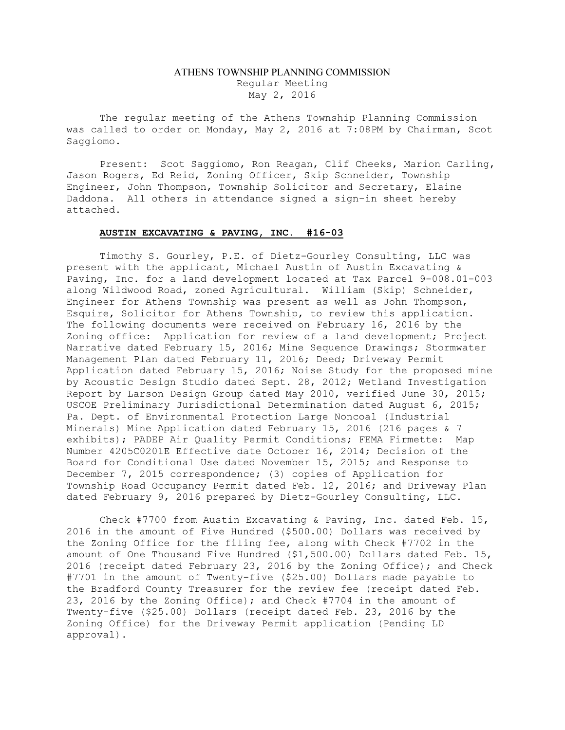## ATHENS TOWNSHIP PLANNING COMMISSION Regular Meeting May 2, 2016

The regular meeting of the Athens Township Planning Commission was called to order on Monday, May 2, 2016 at 7:08PM by Chairman, Scot Saggiomo.

Present: Scot Saggiomo, Ron Reagan, Clif Cheeks, Marion Carling, Jason Rogers, Ed Reid, Zoning Officer, Skip Schneider, Township Engineer, John Thompson, Township Solicitor and Secretary, Elaine Daddona. All others in attendance signed a sign-in sheet hereby attached.

## AUSTIN EXCAVATING & PAVING, INC. #16-03

 Timothy S. Gourley, P.E. of Dietz-Gourley Consulting, LLC was present with the applicant, Michael Austin of Austin Excavating & Paving, Inc. for a land development located at Tax Parcel 9-008.01-003 along Wildwood Road, zoned Agricultural. William (Skip) Schneider, Engineer for Athens Township was present as well as John Thompson, Esquire, Solicitor for Athens Township, to review this application. The following documents were received on February 16, 2016 by the Zoning office: Application for review of a land development; Project Narrative dated February 15, 2016; Mine Sequence Drawings; Stormwater Management Plan dated February 11, 2016; Deed; Driveway Permit Application dated February 15, 2016; Noise Study for the proposed mine by Acoustic Design Studio dated Sept. 28, 2012; Wetland Investigation Report by Larson Design Group dated May 2010, verified June 30, 2015; USCOE Preliminary Jurisdictional Determination dated August 6, 2015; Pa. Dept. of Environmental Protection Large Noncoal (Industrial Minerals) Mine Application dated February 15, 2016 (216 pages & 7 exhibits); PADEP Air Quality Permit Conditions; FEMA Firmette: Map Number 4205C0201E Effective date October 16, 2014; Decision of the Board for Conditional Use dated November 15, 2015; and Response to December 7, 2015 correspondence; (3) copies of Application for Township Road Occupancy Permit dated Feb. 12, 2016; and Driveway Plan dated February 9, 2016 prepared by Dietz-Gourley Consulting, LLC.

 Check #7700 from Austin Excavating & Paving, Inc. dated Feb. 15, 2016 in the amount of Five Hundred (\$500.00) Dollars was received by the Zoning Office for the filing fee, along with Check #7702 in the amount of One Thousand Five Hundred (\$1,500.00) Dollars dated Feb. 15, 2016 (receipt dated February 23, 2016 by the Zoning Office); and Check #7701 in the amount of Twenty-five (\$25.00) Dollars made payable to the Bradford County Treasurer for the review fee (receipt dated Feb. 23, 2016 by the Zoning Office); and Check #7704 in the amount of Twenty-five (\$25.00) Dollars (receipt dated Feb. 23, 2016 by the Zoning Office) for the Driveway Permit application (Pending LD approval).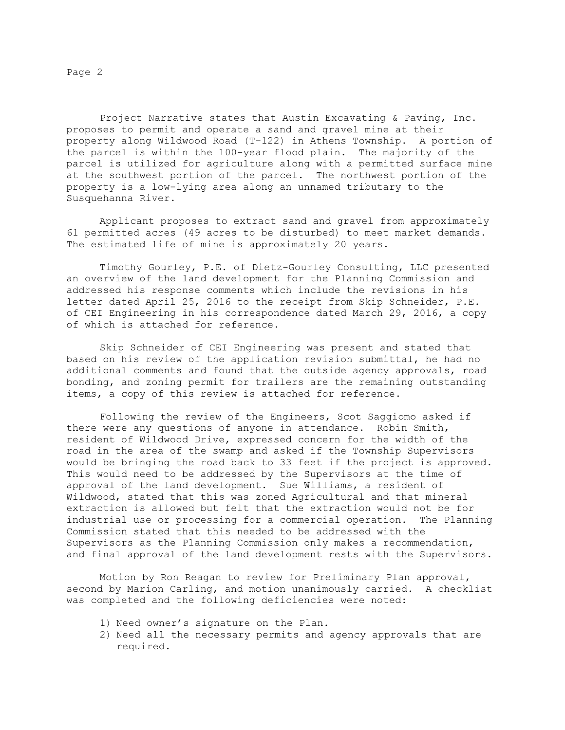Page 2

 Project Narrative states that Austin Excavating & Paving, Inc. proposes to permit and operate a sand and gravel mine at their property along Wildwood Road (T-122) in Athens Township. A portion of the parcel is within the 100-year flood plain. The majority of the parcel is utilized for agriculture along with a permitted surface mine at the southwest portion of the parcel. The northwest portion of the property is a low-lying area along an unnamed tributary to the Susquehanna River.

 Applicant proposes to extract sand and gravel from approximately 61 permitted acres (49 acres to be disturbed) to meet market demands. The estimated life of mine is approximately 20 years.

 Timothy Gourley, P.E. of Dietz-Gourley Consulting, LLC presented an overview of the land development for the Planning Commission and addressed his response comments which include the revisions in his letter dated April 25, 2016 to the receipt from Skip Schneider, P.E. of CEI Engineering in his correspondence dated March 29, 2016, a copy of which is attached for reference.

 Skip Schneider of CEI Engineering was present and stated that based on his review of the application revision submittal, he had no additional comments and found that the outside agency approvals, road bonding, and zoning permit for trailers are the remaining outstanding items, a copy of this review is attached for reference.

 Following the review of the Engineers, Scot Saggiomo asked if there were any questions of anyone in attendance. Robin Smith, resident of Wildwood Drive, expressed concern for the width of the road in the area of the swamp and asked if the Township Supervisors would be bringing the road back to 33 feet if the project is approved. This would need to be addressed by the Supervisors at the time of approval of the land development. Sue Williams, a resident of Wildwood, stated that this was zoned Agricultural and that mineral extraction is allowed but felt that the extraction would not be for industrial use or processing for a commercial operation. The Planning Commission stated that this needed to be addressed with the Supervisors as the Planning Commission only makes a recommendation, and final approval of the land development rests with the Supervisors.

 Motion by Ron Reagan to review for Preliminary Plan approval, second by Marion Carling, and motion unanimously carried. A checklist was completed and the following deficiencies were noted:

- 1) Need owner's signature on the Plan.
- 2) Need all the necessary permits and agency approvals that are required.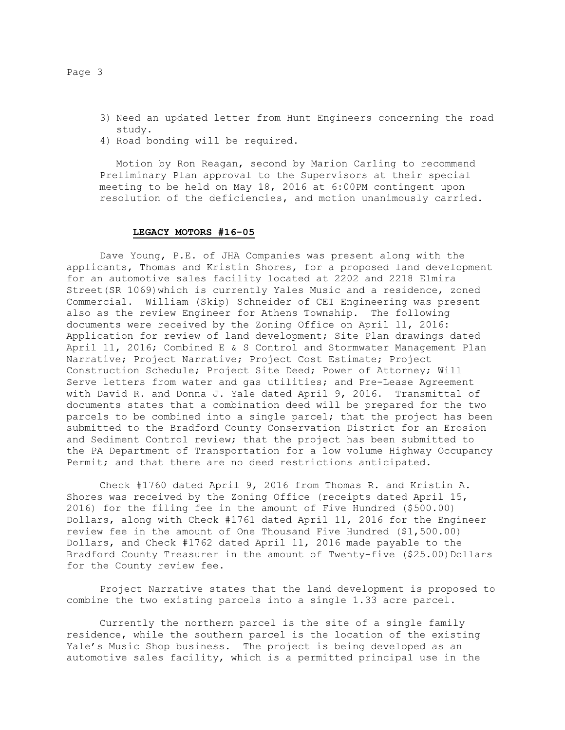- 3) Need an updated letter from Hunt Engineers concerning the road study.
- 4) Road bonding will be required.

Motion by Ron Reagan, second by Marion Carling to recommend Preliminary Plan approval to the Supervisors at their special meeting to be held on May 18, 2016 at 6:00PM contingent upon resolution of the deficiencies, and motion unanimously carried.

## LEGACY MOTORS #16-05

 Dave Young, P.E. of JHA Companies was present along with the applicants, Thomas and Kristin Shores, for a proposed land development for an automotive sales facility located at 2202 and 2218 Elmira Street(SR 1069)which is currently Yales Music and a residence, zoned Commercial. William (Skip) Schneider of CEI Engineering was present also as the review Engineer for Athens Township. The following documents were received by the Zoning Office on April 11, 2016: Application for review of land development; Site Plan drawings dated April 11, 2016; Combined E & S Control and Stormwater Management Plan Narrative; Project Narrative; Project Cost Estimate; Project Construction Schedule; Project Site Deed; Power of Attorney; Will Serve letters from water and gas utilities; and Pre-Lease Agreement with David R. and Donna J. Yale dated April 9, 2016. Transmittal of documents states that a combination deed will be prepared for the two parcels to be combined into a single parcel; that the project has been submitted to the Bradford County Conservation District for an Erosion and Sediment Control review; that the project has been submitted to the PA Department of Transportation for a low volume Highway Occupancy Permit; and that there are no deed restrictions anticipated.

 Check #1760 dated April 9, 2016 from Thomas R. and Kristin A. Shores was received by the Zoning Office (receipts dated April 15, 2016) for the filing fee in the amount of Five Hundred (\$500.00) Dollars, along with Check #1761 dated April 11, 2016 for the Engineer review fee in the amount of One Thousand Five Hundred (\$1,500.00) Dollars, and Check #1762 dated April 11, 2016 made payable to the Bradford County Treasurer in the amount of Twenty-five (\$25.00)Dollars for the County review fee.

 Project Narrative states that the land development is proposed to combine the two existing parcels into a single 1.33 acre parcel.

 Currently the northern parcel is the site of a single family residence, while the southern parcel is the location of the existing Yale's Music Shop business. The project is being developed as an automotive sales facility, which is a permitted principal use in the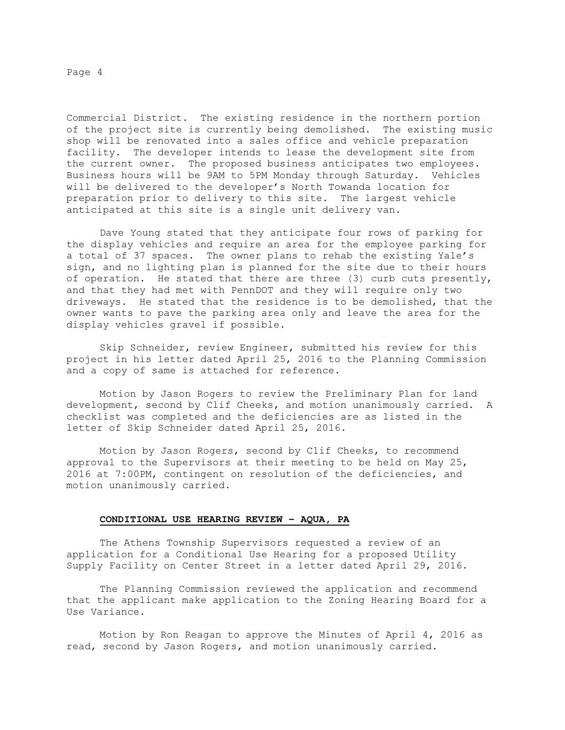Page 4

Commercial District. The existing residence in the northern portion of the project site is currently being demolished. The existing music shop will be renovated into a sales office and vehicle preparation facility. The developer intends to lease the development site from the current owner. The proposed business anticipates two employees. Business hours will be 9AM to 5PM Monday through Saturday. Vehicles will be delivered to the developer's North Towanda location for preparation prior to delivery to this site. The largest vehicle anticipated at this site is a single unit delivery van.

 Dave Young stated that they anticipate four rows of parking for the display vehicles and require an area for the employee parking for a total of 37 spaces. The owner plans to rehab the existing Yale's sign, and no lighting plan is planned for the site due to their hours of operation. He stated that there are three (3) curb cuts presently, and that they had met with PennDOT and they will require only two driveways. He stated that the residence is to be demolished, that the owner wants to pave the parking area only and leave the area for the display vehicles gravel if possible.

 Skip Schneider, review Engineer, submitted his review for this project in his letter dated April 25, 2016 to the Planning Commission and a copy of same is attached for reference.

 Motion by Jason Rogers to review the Preliminary Plan for land development, second by Clif Cheeks, and motion unanimously carried. A checklist was completed and the deficiencies are as listed in the letter of Skip Schneider dated April 25, 2016.

Motion by Jason Rogers, second by Clif Cheeks, to recommend approval to the Supervisors at their meeting to be held on May 25, 2016 at 7:00PM, contingent on resolution of the deficiencies, and motion unanimously carried.

## CONDITIONAL USE HEARING REVIEW – AQUA, PA

The Athens Township Supervisors requested a review of an application for a Conditional Use Hearing for a proposed Utility Supply Facility on Center Street in a letter dated April 29, 2016.

The Planning Commission reviewed the application and recommend that the applicant make application to the Zoning Hearing Board for a Use Variance.

 Motion by Ron Reagan to approve the Minutes of April 4, 2016 as read, second by Jason Rogers, and motion unanimously carried.